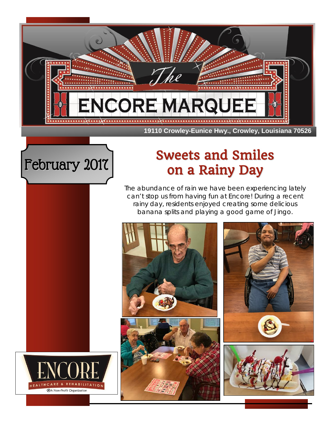

#### **19110 Crowley-Eunice Hwy., Crowley, Louisiana 70526**



# February 2017 Sweets and Smiles on a Rainy Day

The abundance of rain we have been experiencing lately can't stop us from having fun at Encore! During a recent rainy day, residents enjoyed creating some delicious banana splits and playing a good game of Jingo.

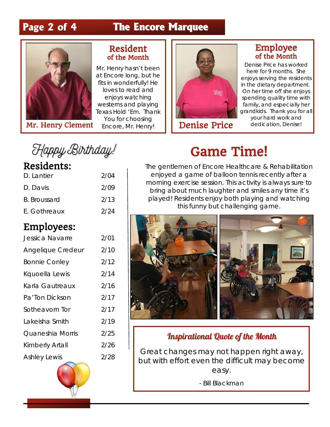# **Page 2 of 4 The Encore Marquee**



Mr. Henry Clement Encore, Mr. Henry!

#### Resident of the Month

Mr. Henry hasn't been at Encore long, but he fits in wonderfully! He loves to read and enjoys watching westerns and playing Texas Hold 'Em. Thank You for choosing



Denise Price dedication, Denise!

#### Employee of the Month

Denise Price has worked here for 9 months. She enjoys serving the residents in the dietary department. On her time off she enjoys spending quality time with family, and especially her grandkids. Thank you for all your hard work and

Happy Birthday!

## Residents:

| D. Lantier   | 2/04 |
|--------------|------|
| D. Davis     | 2/09 |
| B. Broussard | 2/13 |
| E. Gothreaux | 2/24 |

## Employees:

| Jessica Navarre      | 2/01 |
|----------------------|------|
| Angelique Credeur    | 2/10 |
| <b>Bonnie Conley</b> | 2/12 |
| Kquoella Lewis       | 2/14 |
| Karla Gautreaux      | 2/16 |
| Pa'Ton Dickson       | 2/17 |
| Sotheavorn Tor       | 2/17 |
| Lakeisha Smith       | 2/19 |
| Quaneshia Morris     | 2/25 |
| Kimberly Artall      | 2/26 |
| <b>Ashley Lewis</b>  | 2/28 |
|                      |      |



# Game Time!

The gentlemen of Encore Healthcare & Rehabilitation enjoyed a game of balloon tennis recently after a morning exercise session. This activity is always sure to bring about much laughter and smiles any time it's played! Residents enjoy both playing and watching this funny but challenging game.



### Inspirational Quote of the Month

Great changes may not happen right away, but with effort even the difficult may become easy.

- Bill Blackman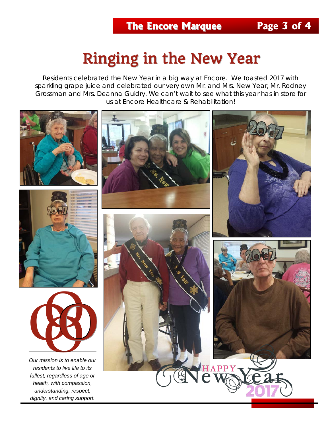# Ringing in the New Year

Residents celebrated the New Year in a big way at Encore. We toasted 2017 with sparkling grape juice and celebrated our very own Mr. and Mrs. New Year, Mr. Rodney Grossman and Mrs. Deanna Guidry. We can't wait to see what this year has in store for us at Encore Healthcare & Rehabilitation!